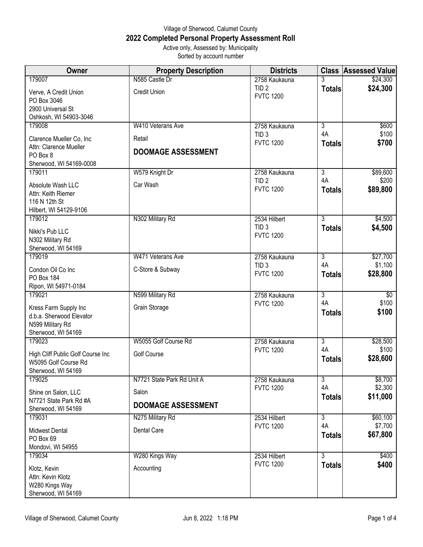## Village of Sherwood, Calumet County **2022 Completed Personal Property Assessment Roll** Active only, Assessed by: Municipality

Sorted by account number

| Owner                                                                              | <b>Property Description</b> | <b>Districts</b>                     |                     | <b>Class Assessed Value</b> |
|------------------------------------------------------------------------------------|-----------------------------|--------------------------------------|---------------------|-----------------------------|
| 179007                                                                             | N585 Castle Dr              | 2758 Kaukauna                        |                     | \$24,300                    |
| Verve, A Credit Union<br>PO Box 3046<br>2900 Universal St                          | <b>Credit Union</b>         | TID <sub>2</sub><br><b>FVTC 1200</b> | <b>Totals</b>       | \$24,300                    |
| Oshkosh, WI 54903-3046                                                             |                             |                                      |                     |                             |
| 179008                                                                             | W410 Veterans Ave           | 2758 Kaukauna                        | $\overline{3}$      | \$600                       |
| Clarence Mueller Co, Inc                                                           | Retail                      | TID <sub>3</sub><br><b>FVTC 1200</b> | 4A                  | \$100                       |
| Attn: Clarence Mueller                                                             | <b>DOOMAGE ASSESSMENT</b>   |                                      | <b>Totals</b>       | \$700                       |
| PO Box 8                                                                           |                             |                                      |                     |                             |
| Sherwood, WI 54169-0008<br>179011                                                  | W579 Knight Dr              | 2758 Kaukauna                        | $\overline{3}$      | \$89,600                    |
|                                                                                    |                             | TID <sub>2</sub>                     | 4A                  | \$200                       |
| Absolute Wash LLC<br>Attn: Keith Riemer<br>116 N 12th St<br>Hilbert, WI 54129-9106 | Car Wash                    | <b>FVTC 1200</b>                     | <b>Totals</b>       | \$89,800                    |
| 179012                                                                             | N302 Military Rd            | 2534 Hilbert                         | $\overline{3}$      | \$4,500                     |
| Nikki's Pub LLC<br>N302 Military Rd<br>Sherwood, WI 54169                          |                             | TID <sub>3</sub><br><b>FVTC 1200</b> | <b>Totals</b>       | \$4,500                     |
| 179019                                                                             | W471 Veterans Ave           | 2758 Kaukauna                        | $\overline{3}$      | \$27,700                    |
| Condon Oil Co Inc                                                                  | C-Store & Subway            | TID <sub>3</sub><br><b>FVTC 1200</b> | 4A<br><b>Totals</b> | \$1,100<br>\$28,800         |
| PO Box 184                                                                         |                             |                                      |                     |                             |
| Ripon, WI 54971-0184<br>179021                                                     | N599 Military Rd            | 2758 Kaukauna                        | $\overline{3}$      | $\sqrt[6]{}$                |
|                                                                                    |                             | <b>FVTC 1200</b>                     | 4A                  | \$100                       |
| Kress Farm Supply Inc<br>d.b.a. Sherwood Elevator                                  | Grain Storage               |                                      | <b>Totals</b>       | \$100                       |
| N599 Military Rd                                                                   |                             |                                      |                     |                             |
| Sherwood, WI 54169                                                                 |                             |                                      |                     |                             |
| 179023                                                                             | W5055 Golf Course Rd        | 2758 Kaukauna                        | $\overline{3}$      | \$28,500                    |
| High Cliff Public Golf Course Inc<br>W5095 Golf Course Rd<br>Sherwood, WI 54169    | Golf Course                 | <b>FVTC 1200</b>                     | 4A<br><b>Totals</b> | \$100<br>\$28,600           |
| 179025                                                                             | N7721 State Park Rd Unit A  | 2758 Kaukauna                        | $\overline{3}$      | \$8,700                     |
| Shine on Salon, LLC                                                                | Salon                       | <b>FVTC 1200</b>                     | 4A                  | \$2,300                     |
| N7721 State Park Rd #A<br>Sherwood, WI 54169                                       | <b>DOOMAGE ASSESSMENT</b>   |                                      | <b>Totals</b>       | \$11,000                    |
| 179031                                                                             | N275 Military Rd            | 2534 Hilbert                         | $\overline{3}$      | \$60,100                    |
| <b>Midwest Dental</b>                                                              | Dental Care                 | <b>FVTC 1200</b>                     | 4A                  | \$7,700                     |
| PO Box 69<br>Mondovi, WI 54955                                                     |                             |                                      | <b>Totals</b>       | \$67,800                    |
| 179034                                                                             | W280 Kings Way              | 2534 Hilbert                         | $\overline{3}$      | \$400                       |
| Klotz, Kevin<br>Attn: Kevin Klotz<br>W280 Kings Way<br>Sherwood, WI 54169          | Accounting                  | <b>FVTC 1200</b>                     | <b>Totals</b>       | \$400                       |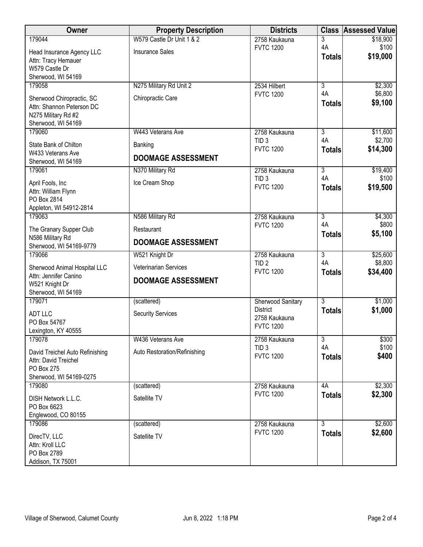| Owner                                                  | <b>Property Description</b>  | <b>Districts</b>                     | <b>Class</b>         | <b>Assessed Value</b> |
|--------------------------------------------------------|------------------------------|--------------------------------------|----------------------|-----------------------|
| 179044                                                 | W579 Castle Dr Unit 1 & 2    | 2758 Kaukauna                        | 3                    | \$18,900              |
| Head Insurance Agency LLC                              | <b>Insurance Sales</b>       | <b>FVTC 1200</b>                     | 4A                   | \$100<br>\$19,000     |
| Attn: Tracy Hemauer                                    |                              |                                      | <b>Totals</b>        |                       |
| W579 Castle Dr                                         |                              |                                      |                      |                       |
| Sherwood, WI 54169<br>179058                           | N275 Military Rd Unit 2      | 2534 Hilbert                         | $\overline{3}$       | \$2,300               |
|                                                        |                              | <b>FVTC 1200</b>                     | 4A                   | \$6,800               |
| Sherwood Chiropractic, SC<br>Attn: Shannon Peterson DC | Chiropractic Care            |                                      | <b>Totals</b>        | \$9,100               |
| N275 Military Rd #2                                    |                              |                                      |                      |                       |
| Sherwood, WI 54169                                     |                              |                                      |                      |                       |
| 179060                                                 | W443 Veterans Ave            | 2758 Kaukauna                        | $\overline{3}$       | \$11,600              |
| State Bank of Chilton                                  | Banking                      | TID <sub>3</sub>                     | 4A                   | \$2,700               |
| W433 Veterans Ave                                      | <b>DOOMAGE ASSESSMENT</b>    | <b>FVTC 1200</b>                     | <b>Totals</b>        | \$14,300              |
| Sherwood, WI 54169                                     |                              |                                      |                      |                       |
| 179061                                                 | N370 Military Rd             | 2758 Kaukauna<br>TID <sub>3</sub>    | $\overline{3}$<br>4A | \$19,400<br>\$100     |
| April Fools, Inc                                       | Ice Cream Shop               | <b>FVTC 1200</b>                     | <b>Totals</b>        | \$19,500              |
| Attn: William Flynn                                    |                              |                                      |                      |                       |
| PO Box 2814<br>Appleton, WI 54912-2814                 |                              |                                      |                      |                       |
| 179063                                                 | N586 Military Rd             | 2758 Kaukauna                        | $\overline{3}$       | \$4,300               |
| The Granary Supper Club                                | Restaurant                   | <b>FVTC 1200</b>                     | 4A                   | \$800                 |
| N586 Military Rd                                       |                              |                                      | <b>Totals</b>        | \$5,100               |
| Sherwood, WI 54169-9779                                | <b>DOOMAGE ASSESSMENT</b>    |                                      |                      |                       |
| 179066                                                 | W521 Knight Dr               | 2758 Kaukauna                        | $\overline{3}$       | \$25,600              |
| Sherwood Animal Hospital LLC                           | Veterinarian Services        | TID <sub>2</sub><br><b>FVTC 1200</b> | 4A                   | \$8,800<br>\$34,400   |
| Attn: Jennifer Canino                                  | <b>DOOMAGE ASSESSMENT</b>    |                                      | <b>Totals</b>        |                       |
| W521 Knight Dr<br>Sherwood, WI 54169                   |                              |                                      |                      |                       |
| 179071                                                 | (scattered)                  | Sherwood Sanitary                    | $\overline{3}$       | \$1,000               |
| ADT LLC                                                | <b>Security Services</b>     | <b>District</b>                      | <b>Totals</b>        | \$1,000               |
| PO Box 54767                                           |                              | 2758 Kaukauna                        |                      |                       |
| Lexington, KY 40555                                    |                              | <b>FVTC 1200</b>                     |                      |                       |
| 179078                                                 | W436 Veterans Ave            | 2758 Kaukauna                        | $\overline{3}$       | \$300                 |
| David Treichel Auto Refinishing                        | Auto Restoration/Refinishing | TID <sub>3</sub><br><b>FVTC 1200</b> | 4A                   | \$100                 |
| Attn: David Treichel                                   |                              |                                      | <b>Totals</b>        | \$400                 |
| PO Box 275                                             |                              |                                      |                      |                       |
| Sherwood, WI 54169-0275<br>179080                      | (scattered)                  | 2758 Kaukauna                        | 4A                   | \$2,300               |
|                                                        |                              | <b>FVTC 1200</b>                     | <b>Totals</b>        | \$2,300               |
| DISH Network L.L.C.<br>PO Box 6623                     | Satellite TV                 |                                      |                      |                       |
| Englewood, CO 80155                                    |                              |                                      |                      |                       |
| 179086                                                 | (scattered)                  | 2758 Kaukauna                        | $\overline{3}$       | \$2,600               |
| DirecTV, LLC                                           | Satellite TV                 | <b>FVTC 1200</b>                     | <b>Totals</b>        | \$2,600               |
| Attn: Kroll LLC                                        |                              |                                      |                      |                       |
| PO Box 2789                                            |                              |                                      |                      |                       |
| Addison, TX 75001                                      |                              |                                      |                      |                       |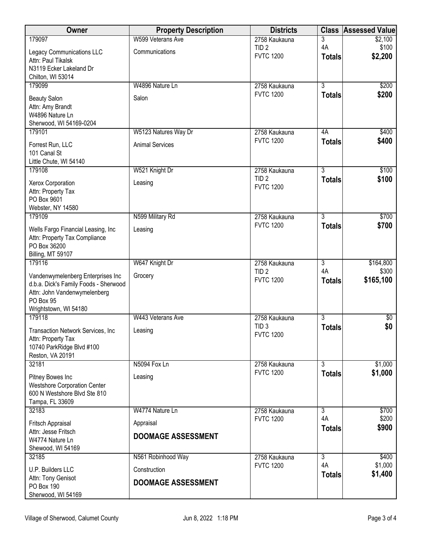| Owner                                         | <b>Property Description</b> | <b>Districts</b>                     | <b>Class</b>         | Assessed Value   |
|-----------------------------------------------|-----------------------------|--------------------------------------|----------------------|------------------|
| 179097                                        | W599 Veterans Ave           | 2758 Kaukauna                        | 3                    | \$2,100          |
| Legacy Communications LLC                     | Communications              | TID <sub>2</sub><br><b>FVTC 1200</b> | 4A<br><b>Totals</b>  | \$100<br>\$2,200 |
| Attn: Paul Tikalsk<br>N3119 Ecker Lakeland Dr |                             |                                      |                      |                  |
| Chilton, WI 53014                             |                             |                                      |                      |                  |
| 179099                                        | W4896 Nature Ln             | 2758 Kaukauna                        | $\overline{3}$       | \$200            |
| <b>Beauty Salon</b>                           | Salon                       | <b>FVTC 1200</b>                     | <b>Totals</b>        | \$200            |
| Attn: Amy Brandt                              |                             |                                      |                      |                  |
| W4896 Nature Ln<br>Sherwood, WI 54169-0204    |                             |                                      |                      |                  |
| 179101                                        | W5123 Natures Way Dr        | 2758 Kaukauna                        | 4A                   | \$400            |
| Forrest Run, LLC                              | <b>Animal Services</b>      | <b>FVTC 1200</b>                     | <b>Totals</b>        | \$400            |
| 101 Canal St                                  |                             |                                      |                      |                  |
| Little Chute, WI 54140                        |                             |                                      |                      |                  |
| 179108                                        | W521 Knight Dr              | 2758 Kaukauna<br>TID <sub>2</sub>    | $\overline{3}$       | \$100            |
| Xerox Corporation                             | Leasing                     | <b>FVTC 1200</b>                     | <b>Totals</b>        | \$100            |
| Attn: Property Tax<br>PO Box 9601             |                             |                                      |                      |                  |
| Webster, NY 14580                             |                             |                                      |                      |                  |
| 179109                                        | N599 Military Rd            | 2758 Kaukauna                        | $\overline{3}$       | \$700            |
| Wells Fargo Financial Leasing, Inc            | Leasing                     | <b>FVTC 1200</b>                     | <b>Totals</b>        | \$700            |
| Attn: Property Tax Compliance                 |                             |                                      |                      |                  |
| PO Box 36200<br>Billing, MT 59107             |                             |                                      |                      |                  |
| 179116                                        | W647 Knight Dr              | 2758 Kaukauna                        | $\overline{3}$       | \$164,800        |
| Vandenwymelenberg Enterprises Inc             | Grocery                     | TID <sub>2</sub>                     | 4A                   | \$300            |
| d.b.a. Dick's Family Foods - Sherwood         |                             | <b>FVTC 1200</b>                     | <b>Totals</b>        | \$165,100        |
| Attn: John Vandenwymelenberg<br>PO Box 95     |                             |                                      |                      |                  |
| Wrightstown, WI 54180                         |                             |                                      |                      |                  |
| 179118                                        | W443 Veterans Ave           | 2758 Kaukauna                        | $\overline{3}$       | $\sqrt[6]{}$     |
| Transaction Network Services, Inc.            | Leasing                     | TID <sub>3</sub>                     | <b>Totals</b>        | \$0              |
| Attn: Property Tax                            |                             | <b>FVTC 1200</b>                     |                      |                  |
| 10740 ParkRidge Blvd #100<br>Reston, VA 20191 |                             |                                      |                      |                  |
| 32181                                         | N5094 Fox Ln                | 2758 Kaukauna                        | $\overline{3}$       | \$1,000          |
| Pitney Bowes Inc                              | Leasing                     | <b>FVTC 1200</b>                     | <b>Totals</b>        | \$1,000          |
| <b>Westshore Corporation Center</b>           |                             |                                      |                      |                  |
| 600 N Westshore Blvd Ste 810                  |                             |                                      |                      |                  |
| Tampa, FL 33609<br>32183                      | W4774 Nature Ln             | 2758 Kaukauna                        | $\overline{3}$       | \$700            |
|                                               |                             | <b>FVTC 1200</b>                     | 4A                   | \$200            |
| Fritsch Appraisal<br>Attn: Jesse Fritsch      | Appraisal                   |                                      | <b>Totals</b>        | \$900            |
| W4774 Nature Ln                               | <b>DOOMAGE ASSESSMENT</b>   |                                      |                      |                  |
| Shewood, WI 54169                             |                             |                                      |                      |                  |
| 32185                                         | N561 Robinhood Way          | 2758 Kaukauna<br><b>FVTC 1200</b>    | $\overline{3}$<br>4A | \$400<br>\$1,000 |
| U.P. Builders LLC                             | Construction                |                                      | <b>Totals</b>        | \$1,400          |
| Attn: Tony Genisot<br><b>PO Box 190</b>       | <b>DOOMAGE ASSESSMENT</b>   |                                      |                      |                  |
| Sherwood, WI 54169                            |                             |                                      |                      |                  |